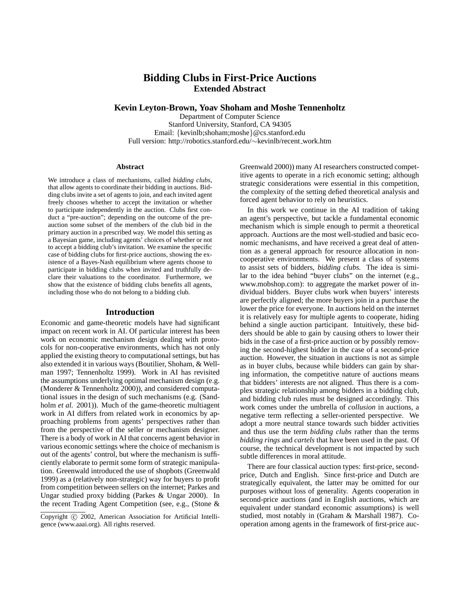## **Bidding Clubs in First-Price Auctions Extended Abstract**

**Kevin Leyton-Brown, Yoav Shoham and Moshe Tennenholtz**

Department of Computer Science Stanford University, Stanford, CA 94305 Email: {kevinlb;shoham;moshe}@cs.stanford.edu Full version: http://robotics.stanford.edu/∼kevinlb/recent work.htm

#### **Abstract**

We introduce a class of mechanisms, called *bidding clubs*, that allow agents to coordinate their bidding in auctions. Bidding clubs invite a set of agents to join, and each invited agent freely chooses whether to accept the invitation or whether to participate independently in the auction. Clubs first conduct a "pre-auction"; depending on the outcome of the preauction some subset of the members of the club bid in the primary auction in a prescribed way. We model this setting as a Bayesian game, including agents' choices of whether or not to accept a bidding club's invitation. We examine the specific case of bidding clubs for first-price auctions, showing the existence of a Bayes-Nash equilibrium where agents choose to participate in bidding clubs when invited and truthfully declare their valuations to the coordinator. Furthermore, we show that the existence of bidding clubs benefits all agents, including those who do not belong to a bidding club.

#### **Introduction**

Economic and game-theoretic models have had significant impact on recent work in AI. Of particular interest has been work on economic mechanism design dealing with protocols for non-cooperative environments, which has not only applied the existing theory to computational settings, but has also extended it in various ways (Boutilier, Shoham, & Wellman 1997; Tennenholtz 1999). Work in AI has revisited the assumptions underlying optimal mechanism design (e.g. (Monderer & Tennenholtz 2000)), and considered computational issues in the design of such mechanisms (e.g. (Sandholm *et al.* 2001)). Much of the game-theoretic multiagent work in AI differs from related work in economics by approaching problems from agents' perspectives rather than from the perspective of the seller or mechanism designer. There is a body of work in AI that concerns agent behavior in various economic settings where the choice of mechanism is out of the agents' control, but where the mechanism is sufficiently elaborate to permit some form of strategic manipulation. Greenwald introduced the use of shopbots (Greenwald 1999) as a (relatively non-strategic) way for buyers to profit from competition between sellers on the internet; Parkes and Ungar studied proxy bidding (Parkes & Ungar 2000). In the recent Trading Agent Competition (see, e.g., (Stone &

Greenwald 2000)) many AI researchers constructed competitive agents to operate in a rich economic setting; although strategic considerations were essential in this competition, the complexity of the setting defied theoretical analysis and forced agent behavior to rely on heuristics.

In this work we continue in the AI tradition of taking an agent's perspective, but tackle a fundamental economic mechanism which is simple enough to permit a theoretical approach. Auctions are the most well-studied and basic economic mechanisms, and have received a great deal of attention as a general approach for resource allocation in noncooperative environments. We present a class of systems to assist sets of bidders, *bidding clubs.* The idea is similar to the idea behind "buyer clubs" on the internet (e.g., www.mobshop.com): to aggregate the market power of individual bidders. Buyer clubs work when buyers' interests are perfectly aligned; the more buyers join in a purchase the lower the price for everyone. In auctions held on the internet it is relatively easy for multiple agents to cooperate, hiding behind a single auction participant. Intuitively, these bidders should be able to gain by causing others to lower their bids in the case of a first-price auction or by possibly removing the second-highest bidder in the case of a second-price auction. However, the situation in auctions is not as simple as in buyer clubs, because while bidders can gain by sharing information, the competitive nature of auctions means that bidders' interests are not aligned. Thus there is a complex strategic relationship among bidders in a bidding club, and bidding club rules must be designed accordingly. This work comes under the umbrella of *collusion* in auctions, a negative term reflecting a seller-oriented perspective. We adopt a more neutral stance towards such bidder activities and thus use the term *bidding clubs* rather than the terms *bidding rings* and *cartels* that have been used in the past. Of course, the technical development is not impacted by such subtle differences in moral attitude.

There are four classical auction types: first-price, secondprice, Dutch and English. Since first-price and Dutch are strategically equivalent, the latter may be omitted for our purposes without loss of generality. Agents cooperation in second-price auctions (and in English auctions, which are equivalent under standard economic assumptions) is well studied, most notably in (Graham & Marshall 1987). Cooperation among agents in the framework of first-price auc-

Copyright © 2002, American Association for Artificial Intelligence (www.aaai.org). All rights reserved.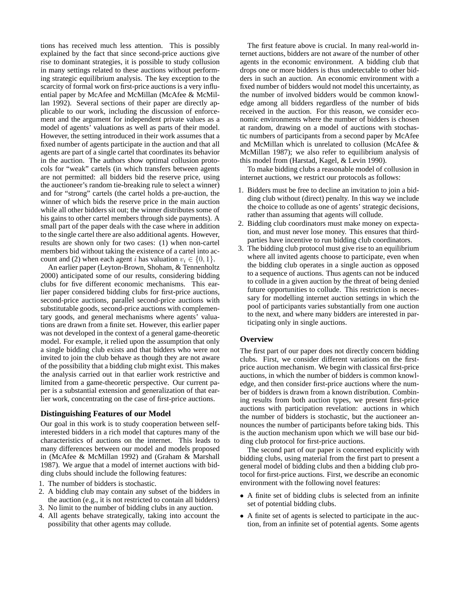tions has received much less attention. This is possibly explained by the fact that since second-price auctions give rise to dominant strategies, it is possible to study collusion in many settings related to these auctions without performing strategic equilibrium analysis. The key exception to the scarcity of formal work on first-price auctions is a very influential paper by McAfee and McMillan (McAfee & McMillan 1992). Several sections of their paper are directly applicable to our work, including the discussion of enforcement and the argument for independent private values as a model of agents' valuations as well as parts of their model. However, the setting introduced in their work assumes that a fixed number of agents participate in the auction and that all agents are part of a single cartel that coordinates its behavior in the auction. The authors show optimal collusion protocols for "weak" cartels (in which transfers between agents are not permitted: all bidders bid the reserve price, using the auctioneer's random tie-breaking rule to select a winner) and for "strong" cartels (the cartel holds a pre-auction, the winner of which bids the reserve price in the main auction while all other bidders sit out; the winner distributes some of his gains to other cartel members through side payments). A small part of the paper deals with the case where in addition to the single cartel there are also additional agents. However, results are shown only for two cases: (1) when non-cartel members bid without taking the existence of a cartel into account and (2) when each agent *i* has valuation  $v_i \in \{0, 1\}$ .

An earlier paper (Leyton-Brown, Shoham, & Tennenholtz 2000) anticipated some of our results, considering bidding clubs for five different economic mechanisms. This earlier paper considered bidding clubs for first-price auctions, second-price auctions, parallel second-price auctions with substitutable goods, second-price auctions with complementary goods, and general mechanisms where agents' valuations are drawn from a finite set. However, this earlier paper was not developed in the context of a general game-theoretic model. For example, it relied upon the assumption that only a single bidding club exists and that bidders who were not invited to join the club behave as though they are not aware of the possibility that a bidding club might exist. This makes the analysis carried out in that earlier work restrictive and limited from a game-theoretic perspective. Our current paper is a substantial extension and generalization of that earlier work, concentrating on the case of first-price auctions.

#### **Distinguishing Features of our Model**

Our goal in this work is to study cooperation between selfinterested bidders in a rich model that captures many of the characteristics of auctions on the internet. This leads to many differences between our model and models proposed in (McAfee & McMillan 1992) and (Graham & Marshall 1987). We argue that a model of internet auctions with bidding clubs should include the following features:

- 1. The number of bidders is stochastic.
- 2. A bidding club may contain any subset of the bidders in the auction (e.g., it is not restricted to contain all bidders)
- 3. No limit to the number of bidding clubs in any auction.
- 4. All agents behave strategically, taking into account the possibility that other agents may collude.

The first feature above is crucial. In many real-world internet auctions, bidders are not aware of the number of other agents in the economic environment. A bidding club that drops one or more bidders is thus undetectable to other bidders in such an auction. An economic environment with a fixed number of bidders would not model this uncertainty, as the number of involved bidders would be common knowledge among all bidders regardless of the number of bids received in the auction. For this reason, we consider economic environments where the number of bidders is chosen at random, drawing on a model of auctions with stochastic numbers of participants from a second paper by McAfee and McMillan which is unrelated to collusion (McAfee & McMillan 1987); we also refer to equilibrium analysis of this model from (Harstad, Kagel, & Levin 1990).

To make bidding clubs a reasonable model of collusion in internet auctions, we restrict our protocols as follows:

- 1. Bidders must be free to decline an invitation to join a bidding club without (direct) penalty. In this way we include the choice to collude as one of agents' strategic decisions, rather than assuming that agents will collude.
- 2. Bidding club coordinators must make money on expectation, and must never lose money. This ensures that thirdparties have incentive to run bidding club coordinators.
- 3. The bidding club protocol must give rise to an equilibrium where all invited agents choose to participate, even when the bidding club operates in a single auction as opposed to a sequence of auctions. Thus agents can not be induced to collude in a given auction by the threat of being denied future opportunities to collude. This restriction is necessary for modelling internet auction settings in which the pool of participants varies substantially from one auction to the next, and where many bidders are interested in participating only in single auctions.

## **Overview**

The first part of our paper does not directly concern bidding clubs. First, we consider different variations on the firstprice auction mechanism. We begin with classical first-price auctions, in which the number of bidders is common knowledge, and then consider first-price auctions where the number of bidders is drawn from a known distribution. Combining results from both auction types, we present first-price auctions with participation revelation: auctions in which the number of bidders is stochastic, but the auctioneer announces the number of participants before taking bids. This is the auction mechanism upon which we will base our bidding club protocol for first-price auctions.

The second part of our paper is concerned explicitly with bidding clubs, using material from the first part to present a general model of bidding clubs and then a bidding club protocol for first-price auctions. First, we describe an economic environment with the following novel features:

- A finite set of bidding clubs is selected from an infinite set of potential bidding clubs.
- A finite set of agents is selected to participate in the auction, from an infinite set of potential agents. Some agents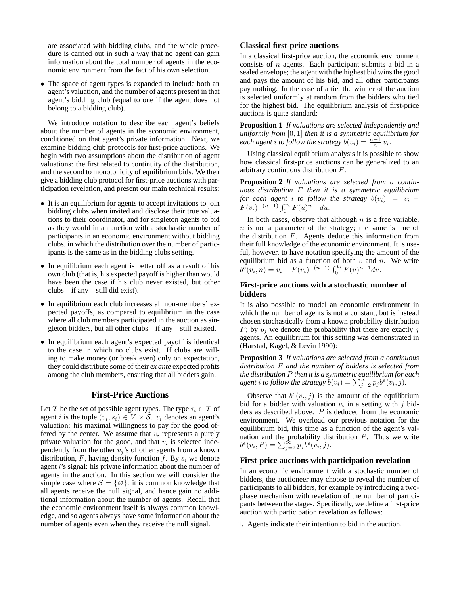are associated with bidding clubs, and the whole procedure is carried out in such a way that no agent can gain information about the total number of agents in the economic environment from the fact of his own selection.

• The space of agent types is expanded to include both an agent's valuation, and the number of agents present in that agent's bidding club (equal to one if the agent does not belong to a bidding club).

We introduce notation to describe each agent's beliefs about the number of agents in the economic environment, conditioned on that agent's private information. Next, we examine bidding club protocols for first-price auctions. We begin with two assumptions about the distribution of agent valuations: the first related to continuity of the distribution, and the second to monotonicity of equilibrium bids. We then give a bidding club protocol for first-price auctions with participation revelation, and present our main technical results:

- It is an equilibrium for agents to accept invitations to join bidding clubs when invited and disclose their true valuations to their coordinator, and for singleton agents to bid as they would in an auction with a stochastic number of participants in an economic environment without bidding clubs, in which the distribution over the number of participants is the same as in the bidding clubs setting.
- In equilibrium each agent is better off as a result of his own club (that is, his expected payoff is higher than would have been the case if his club never existed, but other clubs—if any—still did exist).
- In equilibrium each club increases all non-members' expected payoffs, as compared to equilibrium in the case where all club members participated in the auction as singleton bidders, but all other clubs—if any—still existed.
- In equilibrium each agent's expected payoff is identical to the case in which no clubs exist. If clubs are willing to make money (or break even) only on expectation, they could distribute some of their *ex ante* expected profits among the club members, ensuring that all bidders gain.

## **First-Price Auctions**

Let T be the set of possible agent types. The type  $\tau_i \in \mathcal{T}$  of agent *i* is the tuple  $(v_i, s_i) \in V \times S$ .  $v_i$  denotes an agent's valuation: his maximal willingness to pay for the good offered by the center. We assume that  $v_i$  represents a purely private valuation for the good, and that  $v_i$  is selected independently from the other  $v_j$ 's of other agents from a known distribution,  $F$ , having density function  $f$ . By  $s_i$  we denote agent *i*'s signal: his private information about the number of agents in the auction. In this section we will consider the simple case where  $S = \{ \emptyset \}$ : it is common knowledge that all agents receive the null signal, and hence gain no additional information about the number of agents. Recall that the economic environment itself is always common knowledge, and so agents always have some information about the number of agents even when they receive the null signal.

## **Classical first-price auctions**

In a classical first-price auction, the economic environment consists of n agents. Each participant submits a bid in a sealed envelope; the agent with the highest bid wins the good and pays the amount of his bid, and all other participants pay nothing. In the case of a tie, the winner of the auction is selected uniformly at random from the bidders who tied for the highest bid. The equilibrium analysis of first-price auctions is quite standard:

**Proposition 1** *If valuations are selected independently and uniformly from* [0, 1] *then it is a symmetric equilibrium for each agent i to follow the strategy*  $b(v_i) = \frac{n-1}{n} v_i$ .

Using classical equilibrium analysis it is possible to show how classical first-price auctions can be generalized to an arbitrary continuous distribution F.

**Proposition 2** *If valuations are selected from a continuous distribution* F *then it is a symmetric equilibrium for each agent i to follow the strategy*  $b(v_i) = v_i F(v_i)^{-(n-1)} \int_0^{v_i} F(u)^{n-1} du.$ 

In both cases, observe that although  $n$  is a free variable,  $n$  is not a parameter of the strategy; the same is true of the distribution F. Agents deduce this information from their full knowledge of the economic environment. It is useful, however, to have notation specifying the amount of the equilibrium bid as a function of both  $v$  and  $n$ . We write equilibrium bid as a function of both v and *t*<br>  $b^{e}(v_i, n) = v_i - F(v_i)^{-(n-1)} \int_0^{v_i} F(u)^{n-1} du$ .

## **First-price auctions with a stochastic number of bidders**

It is also possible to model an economic environment in which the number of agents is not a constant, but is instead chosen stochastically from a known probability distribution P; by  $p_j$  we denote the probability that there are exactly j agents. An equilibrium for this setting was demonstrated in (Harstad, Kagel, & Levin 1990):

**Proposition 3** *If valuations are selected from a continuous distribution* F *and the number of bidders is selected from the distribution*  $P$  *then it is a symmetric equilibrium for each agent i to follow the strategy*  $b(v_i) = \sum_{j=2}^{\infty} p_j b^e(v_i, j)$ *.* 

Observe that  $b^e(v_i, j)$  is the amount of the equilibrium bid for a bidder with valuation  $v_i$  in a setting with j bidders as described above. P is deduced from the economic environment. We overload our previous notation for the equilibrium bid, this time as a function of the agent's valuation and the probability distribution  $P$ . Thus we write uation and the probability dis<br>  $b^{e}(v_i, P) = \sum_{j=2}^{\infty} p_j b^{e}(v_i, j).$ 

## **First-price auctions with participation revelation**

In an economic environment with a stochastic number of bidders, the auctioneer may choose to reveal the number of participants to all bidders, for example by introducing a twophase mechanism with revelation of the number of participants between the stages. Specifically, we define a first-price auction with participation revelation as follows:

1. Agents indicate their intention to bid in the auction.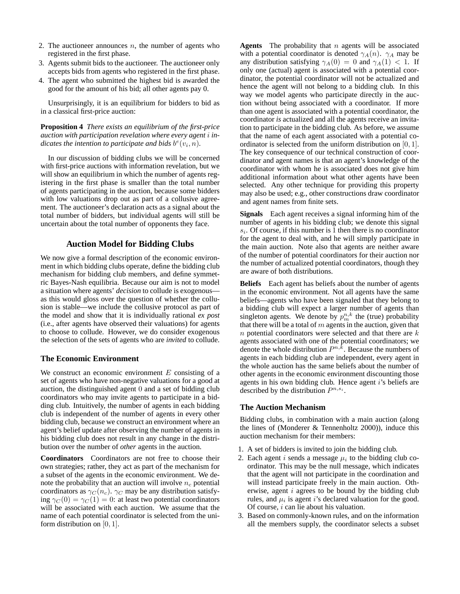- 2. The auctioneer announces  $n$ , the number of agents who registered in the first phase.
- 3. Agents submit bids to the auctioneer. The auctioneer only accepts bids from agents who registered in the first phase.
- 4. The agent who submitted the highest bid is awarded the good for the amount of his bid; all other agents pay 0.

Unsurprisingly, it is an equilibrium for bidders to bid as in a classical first-price auction:

**Proposition 4** *There exists an equilibrium of the first-price auction with participation revelation where every agent* i *in*dicates the intention to participate and bids  $b^e(v_i, n)$ .

In our discussion of bidding clubs we will be concerned with first-price auctions with information revelation, but we will show an equilibrium in which the number of agents registering in the first phase is smaller than the total number of agents participating in the auction, because some bidders with low valuations drop out as part of a collusive agreement. The auctioneer's declaration acts as a signal about the total number of bidders, but individual agents will still be uncertain about the total number of opponents they face.

## **Auction Model for Bidding Clubs**

We now give a formal description of the economic environment in which bidding clubs operate, define the bidding club mechanism for bidding club members, and define symmetric Bayes-Nash equilibria. Because our aim is not to model a situation where agents' *decision* to collude is exogenous as this would gloss over the question of whether the collusion is stable—we include the collusive protocol as part of the model and show that it is individually rational *ex post* (i.e., after agents have observed their valuations) for agents to choose to collude. However, we do consider exogenous the selection of the sets of agents who are *invited* to collude.

## **The Economic Environment**

We construct an economic environment  $E$  consisting of a set of agents who have non-negative valuations for a good at auction, the distinguished agent 0 and a set of bidding club coordinators who may invite agents to participate in a bidding club. Intuitively, the number of agents in each bidding club is independent of the number of agents in every other bidding club, because we construct an environment where an agent's belief update after observing the number of agents in his bidding club does not result in any change in the distribution over the number of *other* agents in the auction.

**Coordinators** Coordinators are not free to choose their own strategies; rather, they act as part of the mechanism for a subset of the agents in the economic environment. We denote the probability that an auction will involve  $n_c$  potential coordinators as  $\gamma_C(n_c)$ .  $\gamma_C$  may be any distribution satisfying  $\gamma_C(0) = \gamma_C(1) = 0$ : at least two potential coordinators will be associated with each auction. We assume that the name of each potential coordinator is selected from the uniform distribution on  $[0, 1]$ .

**Agents** The probability that n agents will be associated with a potential coordinator is denoted  $\gamma_A(n)$ .  $\gamma_A$  may be any distribution satisfying  $\gamma_A(0) = 0$  and  $\gamma_A(1) < 1$ . If only one (actual) agent is associated with a potential coordinator, the potential coordinator will not be actualized and hence the agent will not belong to a bidding club. In this way we model agents who participate directly in the auction without being associated with a coordinator. If more than one agent is associated with a potential coordinator, the coordinator *is* actualized and all the agents receive an invitation to participate in the bidding club. As before, we assume that the name of each agent associated with a potential coordinator is selected from the uniform distribution on [0, 1]. The key consequence of our technical construction of coordinator and agent names is that an agent's knowledge of the coordinator with whom he is associated does not give him additional information about what other agents have been selected. Any other technique for providing this property may also be used; e.g., other constructions draw coordinator and agent names from finite sets.

**Signals** Each agent receives a signal informing him of the number of agents in his bidding club; we denote this signal  $s_i$ . Of course, if this number is 1 then there is no coordinator for the agent to deal with, and he will simply participate in the main auction. Note also that agents are neither aware of the number of potential coordinators for their auction nor the number of actualized potential coordinators, though they are aware of both distributions.

**Beliefs** Each agent has beliefs about the number of agents in the economic environment. Not all agents have the same beliefs—agents who have been signaled that they belong to a bidding club will expect a larger number of agents than singleton agents. We denote by  $p_m^{n,k}$  the (true) probability that there will be a total of  $m$  agents in the auction, given that  $n$  potential coordinators were selected and that there are  $k$ agents associated with one of the potential coordinators; we denote the whole distribution  $P^{n,\tilde{k}}$ . Because the numbers of agents in each bidding club are independent, every agent in the whole auction has the same beliefs about the number of other agents in the economic environment discounting those agents in his own bidding club. Hence agent i's beliefs are described by the distribution  $P^{n,s_i}$ .

### **The Auction Mechanism**

Bidding clubs, in combination with a main auction (along the lines of (Monderer & Tennenholtz 2000)), induce this auction mechanism for their members:

- 1. A set of bidders is invited to join the bidding club.
- 2. Each agent i sends a message  $\mu_i$  to the bidding club coordinator. This may be the null message, which indicates that the agent will not participate in the coordination and will instead participate freely in the main auction. Otherwise, agent i agrees to be bound by the bidding club rules, and  $\mu_i$  is agent i's declared valuation for the good. Of course, i can lie about his valuation.
- 3. Based on commonly-known rules, and on the information all the members supply, the coordinator selects a subset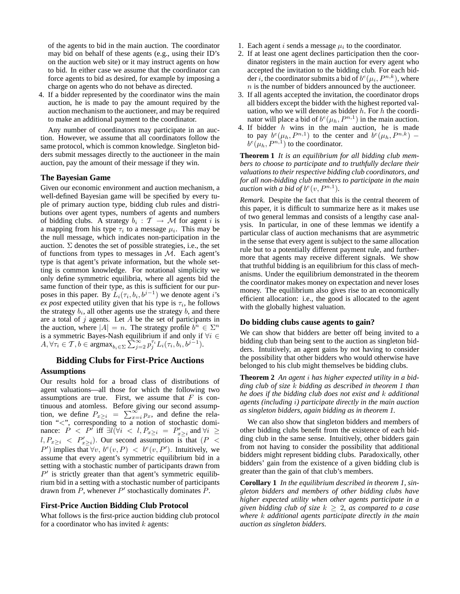of the agents to bid in the main auction. The coordinator may bid on behalf of these agents (e.g., using their ID's on the auction web site) or it may instruct agents on how to bid. In either case we assume that the coordinator can force agents to bid as desired, for example by imposing a charge on agents who do not behave as directed.

4. If a bidder represented by the coordinator wins the main auction, he is made to pay the amount required by the auction mechanism to the auctioneer, and may be required to make an additional payment to the coordinator.

Any number of coordinators may participate in an auction. However, we assume that all coordinators follow the same protocol, which is common knowledge. Singleton bidders submit messages directly to the auctioneer in the main auction, pay the amount of their message if they win.

## **The Bayesian Game**

Given our economic environment and auction mechanism, a well-defined Bayesian game will be specified by every tuple of primary auction type, bidding club rules and distributions over agent types, numbers of agents and numbers of bidding clubs. A strategy  $b_i : \mathcal{T} \to \mathcal{M}$  for agent i is a mapping from his type  $\tau_i$  to a message  $\mu_i$ . This may be the null message, which indicates non-participation in the auction.  $\Sigma$  denotes the set of possible strategies, i.e., the set of functions from types to messages in  $M$ . Each agent's type is that agent's private information, but the whole setting is common knowledge. For notational simplicity we only define symmetric equilibria, where all agents bid the same function of their type, as this is sufficient for our purposes in this paper. By  $\hat{L}_i(\tau_i, b_i, b^{j-1})$  we denote agent i's  $ex$  *post* expected utility given that his type is  $\tau_i$ , he follows the strategy  $b_i$ , all other agents use the strategy  $b_i$ , and there are a total of  $j$  agents. Let  $A$  be the set of participants in the auction, where  $|A| = n$ . The strategy profile  $b^n \in \Sigma^n$ is a symmetric Bayes-Nash equilibrium if and only if  $\forall i \in$ is a symmetric Bayes-Nash equilibrium if and only if  $A, \forall \tau_i \in \mathcal{T}, b \in \text{argmax}_{b_i \in \Sigma} \sum_{j=2}^{\infty} p_j^{\tau_i} L_i(\tau_i, b_i, b^{j-1}).$ 

# **Bidding Clubs for First-Price Auctions**

## **Assumptions**

Our results hold for a broad class of distributions of agent valuations—all those for which the following two assumptions are true. First, we assume that  $F$  is continuous and atomless. Before giving our second assumption, we define  $P_{x\geq i} = \sum_{x=i}^{\infty} p_x$ , and define the relation "<", corresponding to a notion of stochastic dominance:  $P \leq P^{\tilde{t}}$  iff  $\exists l \vec{(\forall i} \leq l, P_{x \geq i} = P'_{x \geq i}$  and  $\forall i \geq$  $l, P_{x\geq i} \langle P'_{x\geq i}\rangle$ . Our second assumption is that  $(P \langle P \rangle)$  $P'$ ) implies that  $\forall v, b^e(v, P) < b^e(v, P')$ . Intuitively, we assume that every agent's symmetric equilibrium bid in a setting with a stochastic number of participants drawn from  $P'$  is strictly greater than that agent's symmetric equilibrium bid in a setting with a stochastic number of participants drawn from P, whenever  $P'$  stochastically dominates  $\tilde{P}$ .

#### **First-Price Auction Bidding Club Protocol**

What follows is the first-price auction bidding club protocol for a coordinator who has invited  $k$  agents:

- 1. Each agent  $i$  sends a message  $\mu_i$  to the coordinator.
- 2. If at least one agent declines participation then the coordinator registers in the main auction for every agent who accepted the invitation to the bidding club. For each bidder i, the coordinator submits a bid of  $b^e(\mu_i, P^{n,k})$ , where  $n$  is the number of bidders announced by the auctioneer.
- 3. If all agents accepted the invitation, the coordinator drops all bidders except the bidder with the highest reported valuation, who we will denote as bidder  $h$ . For  $h$  the coordinator will place a bid of  $b^e(\mu_h, P^{n,1})$  in the main auction.
- 4. If bidder  $h$  wins in the main auction, he is made to pay  $b^e(\mu_h, P^{n,1})$  to the center and  $b^e(\mu_h, P^{n,k})$  –  $b^e(\mu_h, P^{n,1})$  to the coordinator.

**Theorem 1** *It is an equilibrium for all bidding club members to choose to participate and to truthfully declare their valuations to their respective bidding club coordinators, and for all non-bidding club members to participate in the main auction with a bid of*  $b^e(v, P^{n,1})$ *.* 

*Remark.* Despite the fact that this is the central theorem of this paper, it is difficult to summarize here as it makes use of two general lemmas and consists of a lengthy case analysis. In particular, in one of these lemmas we identify a particular class of auction mechanisms that are asymmetric in the sense that every agent is subject to the same allocation rule but to a potentially different payment rule, and furthermore that agents may receive different signals. We show that truthful bidding is an equilibrium for this class of mechanisms. Under the equilibrium demonstrated in the theorem the coordinator makes money on expectation and never loses money. The equilibrium also gives rise to an economically efficient allocation: i.e., the good is allocated to the agent with the globally highest valuation.

### **Do bidding clubs cause agents to gain?**

We can show that bidders are better off being invited to a bidding club than being sent to the auction as singleton bidders. Intuitively, an agent gains by not having to consider the possibility that other bidders who would otherwise have belonged to his club might themselves be bidding clubs.

**Theorem 2** *An agent* i *has higher expected utility in a bidding club of size* k *bidding as described in theorem 1 than he does if the bidding club does not exist and* k *additional agents (including* i*) participate directly in the main auction as singleton bidders, again bidding as in theorem 1.*

We can also show that singleton bidders and members of other bidding clubs benefit from the existence of each bidding club in the same sense. Intuitively, other bidders gain from not having to consider the possibility that additional bidders might represent bidding clubs. Paradoxically, other bidders' gain from the existence of a given bidding club is greater than the gain of that club's members.

**Corollary 1** *In the equilibrium described in theorem 1, singleton bidders and members of other bidding clubs have higher expected utility when other agents participate in a given bidding club of size*  $k \geq 2$ *, as compared to a case where* k *additional agents participate directly in the main auction as singleton bidders.*